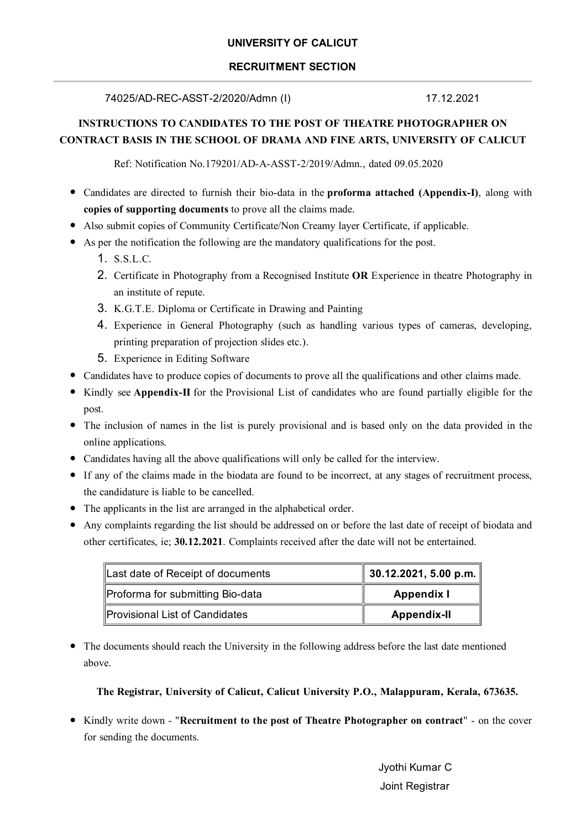#### **UNIVERSITY OF CALICUT**

#### **RECRUITMENT SECTION**

74025/AD-REC-ASST-2/2020/Admn (I)

17.12.2021

#### **INSTRUCTIONS TO CANDIDATES TO THE POST OF THEATRE PHOTOGRAPHER ON** CONTRACT BASIS IN THE SCHOOL OF DRAMA AND FINE ARTS, UNIVERSITY OF CALICUT

Ref: Notification No.179201/AD-A-ASST-2/2019/Admn., dated 09.05.2020

- Candidates are directed to furnish their bio-data in the **proforma attached (Appendix-I)**, along with copies of supporting documents to prove all the claims made.
- Also submit copies of Community Certificate/Non Creamy layer Certificate, if applicable.
- As per the notification the following are the mandatory qualifications for the post.
	- 1. S.S.L.C.
	- 2. Certificate in Photography from a Recognised Institute OR Experience in theatre Photography in an institute of repute.
	- 3. K.G.T.E. Diploma or Certificate in Drawing and Painting
	- 4. Experience in General Photography (such as handling various types of cameras, developing, printing preparation of projection slides etc.).
	- 5. Experience in Editing Software
- Candidates have to produce copies of documents to prove all the qualifications and other claims made.
- Kindly see Appendix-II for the Provisional List of candidates who are found partially eligible for the post.
- The inclusion of names in the list is purely provisional and is based only on the data provided in the online applications.
- Candidates having all the above qualifications will only be called for the interview.
- If any of the claims made in the biodata are found to be incorrect, at any stages of recruitment process, the candidature is liable to be cancelled.
- The applicants in the list are arranged in the alphabetical order.
- Any complaints regarding the list should be addressed on or before the last date of receipt of biodata and other certificates, ie; 30.12.2021. Complaints received after the date will not be entertained.

| Last date of Receipt of documents | $\parallel$ 30.12.2021, 5.00 p.m. |
|-----------------------------------|-----------------------------------|
| Proforma for submitting Bio-data  | <b>Appendix I</b>                 |
| Provisional List of Candidates    | <b>Appendix-II</b>                |

• The documents should reach the University in the following address before the last date mentioned above.

The Registrar, University of Calicut, Calicut University P.O., Malappuram, Kerala, 673635.

• Kindly write down - "Recruitment to the post of Theatre Photographer on contract" - on the cover for sending the documents.

> Jyothi Kumar C Joint Registrar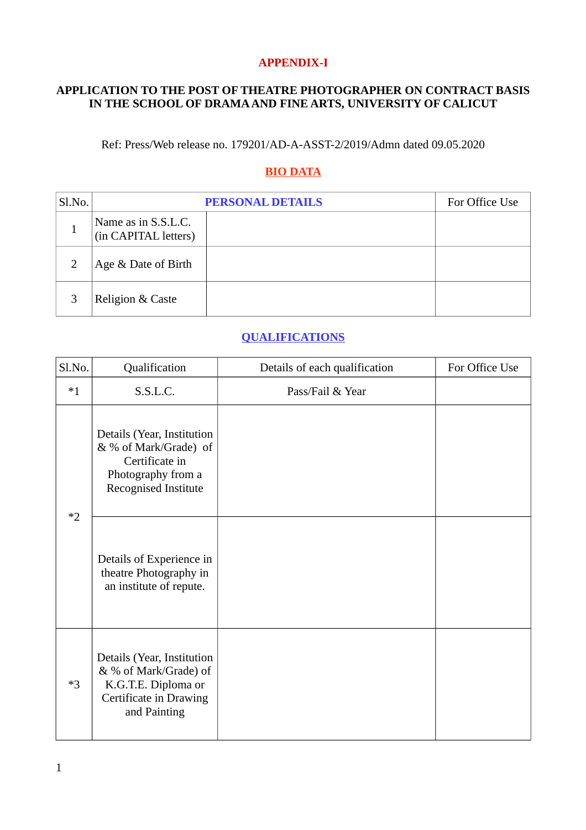#### **APPENDIX-I**

### APPLICATION TO THE POST OF THEATRE PHOTOGRAPHER ON CONTRACT BASIS IN THE SCHOOL OF DRAMA AND FINE ARTS, UNIVERSITY OF CALICUT

Ref: Press/Web release no. 179201/AD-A-ASST-2/2019/Admn dated 09.05.2020

# **BIO DATA**

| Sl.No. |                                             | <b>PERSONAL DETAILS</b> |  |  |  |
|--------|---------------------------------------------|-------------------------|--|--|--|
|        | Name as in S.S.L.C.<br>(in CAPITAL letters) |                         |  |  |  |
|        | Age & Date of Birth                         |                         |  |  |  |
|        | Religion & Caste                            |                         |  |  |  |

## **QUALIFICATIONS**

| Sl.No. | Qualification                                                                                                               | Details of each qualification | For Office Use |
|--------|-----------------------------------------------------------------------------------------------------------------------------|-------------------------------|----------------|
| $*1$   | S.S.L.C.                                                                                                                    | Pass/Fail & Year              |                |
|        | Details (Year, Institution<br>& % of Mark/Grade) of<br>Certificate in<br>Photography from a<br>Recognised Institute         |                               |                |
| $*2$   | Details of Experience in<br>theatre Photography in<br>an institute of repute.                                               |                               |                |
| $*3$   | Details (Year, Institution<br>& % of Mark/Grade) of<br>K.G.T.E. Diploma or<br><b>Certificate in Drawing</b><br>and Painting |                               |                |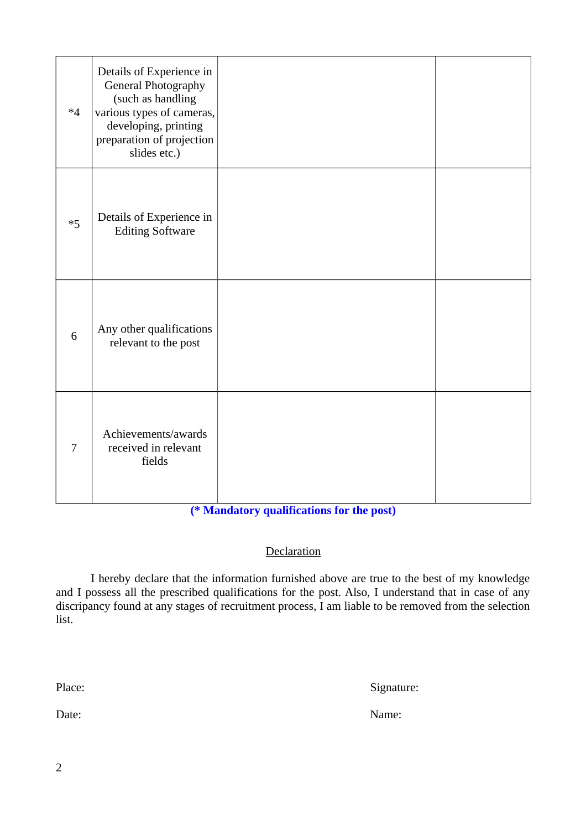| $*4$ | Details of Experience in<br>General Photography<br>(such as handling<br>various types of cameras,<br>developing, printing<br>preparation of projection<br>slides etc.) |  |
|------|------------------------------------------------------------------------------------------------------------------------------------------------------------------------|--|
| $*5$ | Details of Experience in<br><b>Editing Software</b>                                                                                                                    |  |
| 6    | Any other qualifications<br>relevant to the post                                                                                                                       |  |
| 7    | Achievements/awards<br>received in relevant<br>fields                                                                                                                  |  |

## (\* Mandatory qualifications for the post)

### Declaration

I hereby declare that the information furnished above are true to the best of my knowledge and I possess all the prescribed qualifications for the post. Also, I understand that in case of any discripancy found at any stages of recruitment process, I am liable to be removed from the selection list.

Place:

Signature:

Date:

Name: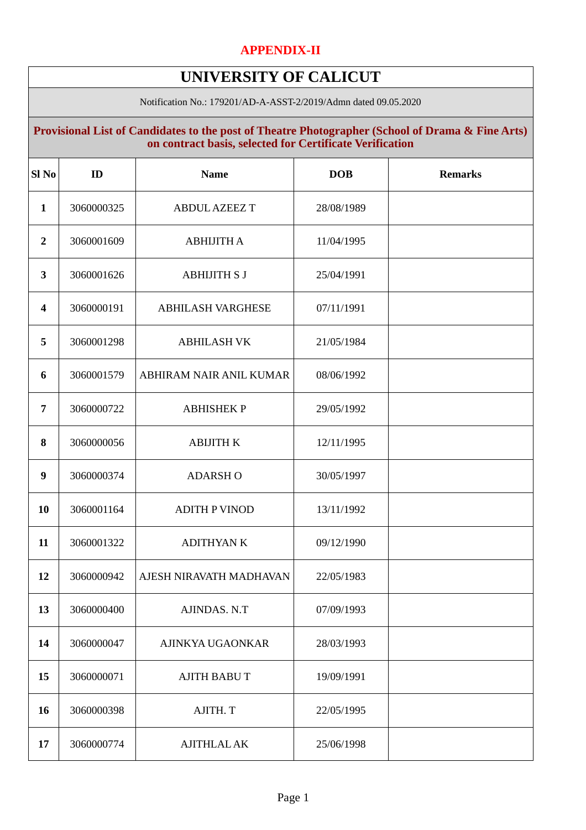## **APPENDIX-II**

# **UNIVERSITY OF CALICUT**

Notification No.: 179201/AD-A-ASST-2/2019/Admn dated 09.05.2020

### **Provisional List of Candidates to the post of Theatre Photographer (School of Drama & Fine Arts) on contract basis, selected for Certificate Verification**

| Sl <sub>No</sub>        | ID         | <b>Name</b>              | <b>DOB</b> | <b>Remarks</b> |
|-------------------------|------------|--------------------------|------------|----------------|
| $\mathbf{1}$            | 3060000325 | <b>ABDUL AZEEZ T</b>     | 28/08/1989 |                |
| $\overline{2}$          | 3060001609 | <b>ABHIJITH A</b>        | 11/04/1995 |                |
| 3                       | 3060001626 | <b>ABHIJITH S J</b>      | 25/04/1991 |                |
| $\overline{\mathbf{4}}$ | 3060000191 | <b>ABHILASH VARGHESE</b> | 07/11/1991 |                |
| 5                       | 3060001298 | <b>ABHILASH VK</b>       | 21/05/1984 |                |
| 6                       | 3060001579 | ABHIRAM NAIR ANIL KUMAR  | 08/06/1992 |                |
| $\overline{7}$          | 3060000722 | <b>ABHISHEK P</b>        | 29/05/1992 |                |
| 8                       | 3060000056 | <b>ABIJITH K</b>         | 12/11/1995 |                |
| 9                       | 3060000374 | <b>ADARSH O</b>          | 30/05/1997 |                |
| 10                      | 3060001164 | <b>ADITH P VINOD</b>     | 13/11/1992 |                |
| 11                      | 3060001322 | <b>ADITHYAN K</b>        | 09/12/1990 |                |
| 12                      | 3060000942 | AJESH NIRAVATH MADHAVAN  | 22/05/1983 |                |
| 13                      | 3060000400 | AJINDAS. N.T             | 07/09/1993 |                |
| 14                      | 3060000047 | AJINKYA UGAONKAR         | 28/03/1993 |                |
| 15                      | 3060000071 | <b>AJITH BABUT</b>       | 19/09/1991 |                |
| 16                      | 3060000398 | AJITH. T                 | 22/05/1995 |                |
| 17                      | 3060000774 | <b>AJITHLAL AK</b>       | 25/06/1998 |                |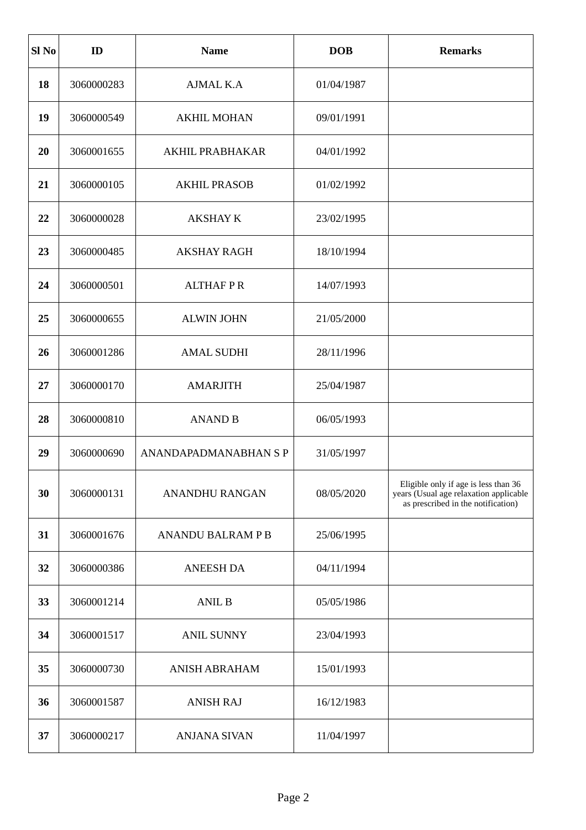| Sl <sub>No</sub> | ID         | <b>Name</b>                  | <b>DOB</b> | <b>Remarks</b>                                                                                                       |
|------------------|------------|------------------------------|------------|----------------------------------------------------------------------------------------------------------------------|
| 18               | 3060000283 | <b>AJMAL K.A</b>             | 01/04/1987 |                                                                                                                      |
| 19               | 3060000549 | <b>AKHIL MOHAN</b>           | 09/01/1991 |                                                                                                                      |
| 20               | 3060001655 | <b>AKHIL PRABHAKAR</b>       | 04/01/1992 |                                                                                                                      |
| 21               | 3060000105 | <b>AKHIL PRASOB</b>          | 01/02/1992 |                                                                                                                      |
| 22               | 3060000028 | <b>AKSHAY K</b>              | 23/02/1995 |                                                                                                                      |
| 23               | 3060000485 | <b>AKSHAY RAGH</b>           | 18/10/1994 |                                                                                                                      |
| 24               | 3060000501 | <b>ALTHAFPR</b>              | 14/07/1993 |                                                                                                                      |
| 25               | 3060000655 | <b>ALWIN JOHN</b>            | 21/05/2000 |                                                                                                                      |
| 26               | 3060001286 | <b>AMAL SUDHI</b>            | 28/11/1996 |                                                                                                                      |
| 27               | 3060000170 | <b>AMARJITH</b>              | 25/04/1987 |                                                                                                                      |
| 28               | 3060000810 | <b>ANAND B</b>               | 06/05/1993 |                                                                                                                      |
| 29               | 3060000690 | <b>ANANDAPADMANABHAN S P</b> | 31/05/1997 |                                                                                                                      |
| 30               | 3060000131 | <b>ANANDHU RANGAN</b>        | 08/05/2020 | Eligible only if age is less than 36<br>years (Usual age relaxation applicable<br>as prescribed in the notification) |
| 31               | 3060001676 | <b>ANANDU BALRAM P B</b>     | 25/06/1995 |                                                                                                                      |
| 32               | 3060000386 | <b>ANEESH DA</b>             | 04/11/1994 |                                                                                                                      |
| 33               | 3060001214 | <b>ANIL B</b>                | 05/05/1986 |                                                                                                                      |
| 34               | 3060001517 | <b>ANIL SUNNY</b>            | 23/04/1993 |                                                                                                                      |
| 35               | 3060000730 | <b>ANISH ABRAHAM</b>         | 15/01/1993 |                                                                                                                      |
| 36               | 3060001587 | <b>ANISH RAJ</b>             | 16/12/1983 |                                                                                                                      |
| 37               | 3060000217 | <b>ANJANA SIVAN</b>          | 11/04/1997 |                                                                                                                      |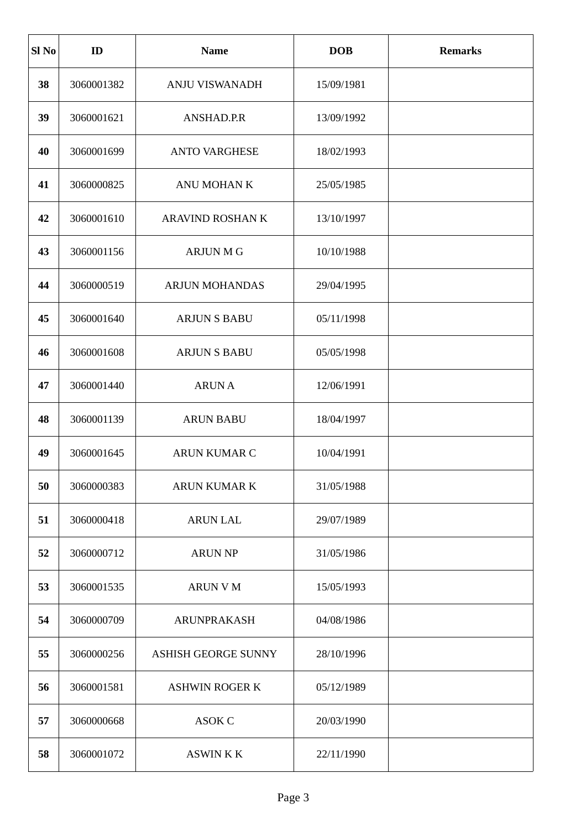| Sl <sub>No</sub> | ID         | <b>Name</b>                | <b>DOB</b> | <b>Remarks</b> |
|------------------|------------|----------------------------|------------|----------------|
| 38               | 3060001382 | <b>ANJU VISWANADH</b>      | 15/09/1981 |                |
| 39               | 3060001621 | ANSHAD.P.R                 | 13/09/1992 |                |
| 40               | 3060001699 | <b>ANTO VARGHESE</b>       | 18/02/1993 |                |
| 41               | 3060000825 | ANU MOHAN K                | 25/05/1985 |                |
| 42               | 3060001610 | ARAVIND ROSHAN K           | 13/10/1997 |                |
| 43               | 3060001156 | <b>ARJUN M G</b>           | 10/10/1988 |                |
| 44               | 3060000519 | <b>ARJUN MOHANDAS</b>      | 29/04/1995 |                |
| 45               | 3060001640 | <b>ARJUN S BABU</b>        | 05/11/1998 |                |
| 46               | 3060001608 | <b>ARJUN S BABU</b>        | 05/05/1998 |                |
| 47               | 3060001440 | <b>ARUNA</b>               | 12/06/1991 |                |
| 48               | 3060001139 | <b>ARUN BABU</b>           | 18/04/1997 |                |
| 49               | 3060001645 | <b>ARUN KUMAR C</b>        | 10/04/1991 |                |
| 50               | 3060000383 | <b>ARUN KUMAR K</b>        | 31/05/1988 |                |
| 51               | 3060000418 | <b>ARUN LAL</b>            | 29/07/1989 |                |
| 52               | 3060000712 | <b>ARUN NP</b>             | 31/05/1986 |                |
| 53               | 3060001535 | <b>ARUN V M</b>            | 15/05/1993 |                |
| 54               | 3060000709 | <b>ARUNPRAKASH</b>         | 04/08/1986 |                |
| 55               | 3060000256 | <b>ASHISH GEORGE SUNNY</b> | 28/10/1996 |                |
| 56               | 3060001581 | <b>ASHWIN ROGER K</b>      | 05/12/1989 |                |
| 57               | 3060000668 | ASOK C                     | 20/03/1990 |                |
| 58               | 3060001072 | <b>ASWINKK</b>             | 22/11/1990 |                |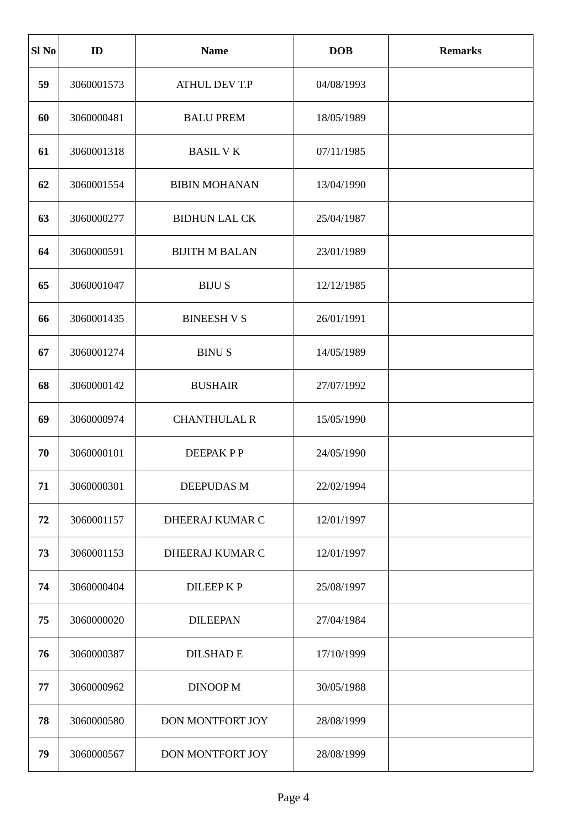| Sl <sub>No</sub> | ID         | <b>Name</b>           | <b>DOB</b> | <b>Remarks</b> |
|------------------|------------|-----------------------|------------|----------------|
| 59               | 3060001573 | <b>ATHUL DEV T.P</b>  | 04/08/1993 |                |
| 60               | 3060000481 | <b>BALU PREM</b>      | 18/05/1989 |                |
| 61               | 3060001318 | <b>BASIL VK</b>       | 07/11/1985 |                |
| 62               | 3060001554 | <b>BIBIN MOHANAN</b>  | 13/04/1990 |                |
| 63               | 3060000277 | <b>BIDHUN LAL CK</b>  | 25/04/1987 |                |
| 64               | 3060000591 | <b>BIJITH M BALAN</b> | 23/01/1989 |                |
| 65               | 3060001047 | <b>BIJUS</b>          | 12/12/1985 |                |
| 66               | 3060001435 | <b>BINEESH V S</b>    | 26/01/1991 |                |
| 67               | 3060001274 | <b>BINUS</b>          | 14/05/1989 |                |
| 68               | 3060000142 | <b>BUSHAIR</b>        | 27/07/1992 |                |
| 69               | 3060000974 | <b>CHANTHULAL R</b>   | 15/05/1990 |                |
| 70               | 3060000101 | <b>DEEPAKPP</b>       | 24/05/1990 |                |
| 71               | 3060000301 | <b>DEEPUDAS M</b>     | 22/02/1994 |                |
| 72               | 3060001157 | DHEERAJ KUMAR C       | 12/01/1997 |                |
| 73               | 3060001153 | DHEERAJ KUMAR C       | 12/01/1997 |                |
| 74               | 3060000404 | <b>DILEEPKP</b>       | 25/08/1997 |                |
| 75               | 3060000020 | <b>DILEEPAN</b>       | 27/04/1984 |                |
| 76               | 3060000387 | <b>DILSHAD E</b>      | 17/10/1999 |                |
| 77               | 3060000962 | <b>DINOOP M</b>       | 30/05/1988 |                |
| 78               | 3060000580 | DON MONTFORT JOY      | 28/08/1999 |                |
| 79               | 3060000567 | DON MONTFORT JOY      | 28/08/1999 |                |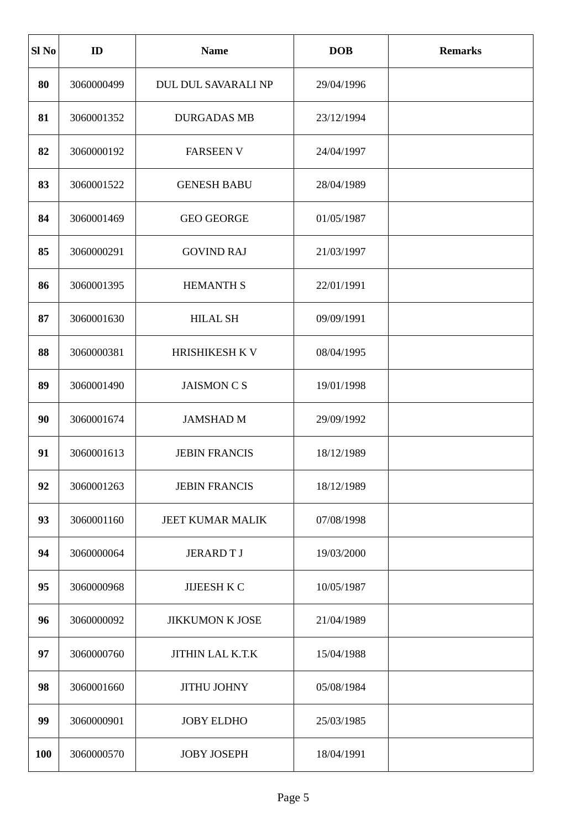| Sl No | ID         | <b>Name</b>            | <b>DOB</b> | <b>Remarks</b> |
|-------|------------|------------------------|------------|----------------|
| 80    | 3060000499 | DUL DUL SAVARALI NP    | 29/04/1996 |                |
| 81    | 3060001352 | <b>DURGADAS MB</b>     | 23/12/1994 |                |
| 82    | 3060000192 | <b>FARSEEN V</b>       | 24/04/1997 |                |
| 83    | 3060001522 | <b>GENESH BABU</b>     | 28/04/1989 |                |
| 84    | 3060001469 | <b>GEO GEORGE</b>      | 01/05/1987 |                |
| 85    | 3060000291 | <b>GOVIND RAJ</b>      | 21/03/1997 |                |
| 86    | 3060001395 | <b>HEMANTH S</b>       | 22/01/1991 |                |
| 87    | 3060001630 | <b>HILAL SH</b>        | 09/09/1991 |                |
| 88    | 3060000381 | HRISHIKESH K V         | 08/04/1995 |                |
| 89    | 3060001490 | <b>JAISMON CS</b>      | 19/01/1998 |                |
| 90    | 3060001674 | <b>JAMSHAD M</b>       | 29/09/1992 |                |
| 91    | 3060001613 | <b>JEBIN FRANCIS</b>   | 18/12/1989 |                |
| 92    | 3060001263 | <b>JEBIN FRANCIS</b>   | 18/12/1989 |                |
| 93    | 3060001160 | JEET KUMAR MALIK       | 07/08/1998 |                |
| 94    | 3060000064 | <b>JERARDTJ</b>        | 19/03/2000 |                |
| 95    | 3060000968 | JIJEESH K C            | 10/05/1987 |                |
| 96    | 3060000092 | <b>JIKKUMON K JOSE</b> | 21/04/1989 |                |
| 97    | 3060000760 | JITHIN LAL K.T.K       | 15/04/1988 |                |
| 98    | 3060001660 | <b>JITHU JOHNY</b>     | 05/08/1984 |                |
| 99    | 3060000901 | <b>JOBY ELDHO</b>      | 25/03/1985 |                |
| 100   | 3060000570 | <b>JOBY JOSEPH</b>     | 18/04/1991 |                |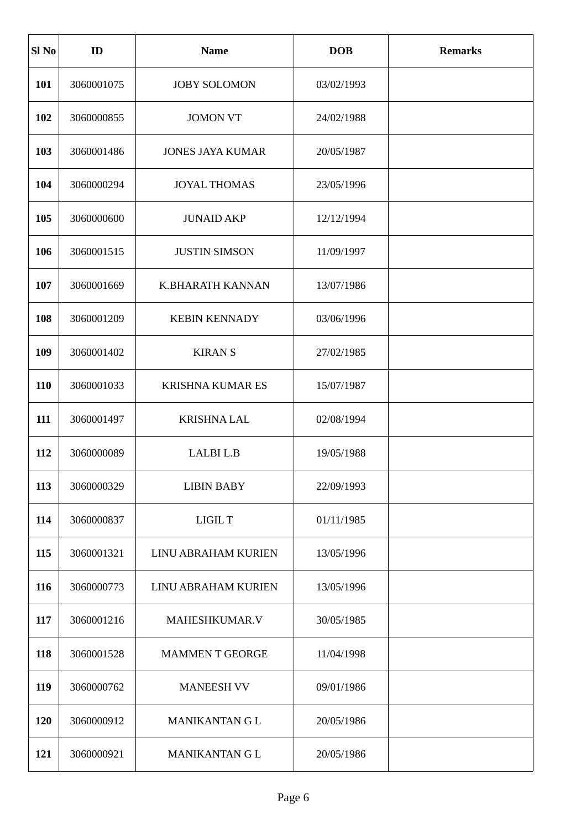| Sl <sub>No</sub> | ID         | <b>Name</b>             | <b>DOB</b> | <b>Remarks</b> |
|------------------|------------|-------------------------|------------|----------------|
| 101              | 3060001075 | <b>JOBY SOLOMON</b>     | 03/02/1993 |                |
| 102              | 3060000855 | <b>JOMON VT</b>         | 24/02/1988 |                |
| 103              | 3060001486 | <b>JONES JAYA KUMAR</b> | 20/05/1987 |                |
| 104              | 3060000294 | <b>JOYAL THOMAS</b>     | 23/05/1996 |                |
| 105              | 3060000600 | <b>JUNAID AKP</b>       | 12/12/1994 |                |
| 106              | 3060001515 | <b>JUSTIN SIMSON</b>    | 11/09/1997 |                |
| 107              | 3060001669 | K.BHARATH KANNAN        | 13/07/1986 |                |
| 108              | 3060001209 | <b>KEBIN KENNADY</b>    | 03/06/1996 |                |
| 109              | 3060001402 | <b>KIRAN S</b>          | 27/02/1985 |                |
| 110              | 3060001033 | <b>KRISHNA KUMAR ES</b> | 15/07/1987 |                |
| 111              | 3060001497 | <b>KRISHNALAL</b>       | 02/08/1994 |                |
| 112              | 3060000089 | LALBI L.B               | 19/05/1988 |                |
| 113              | 3060000329 | <b>LIBIN BABY</b>       | 22/09/1993 |                |
| 114              | 3060000837 | LIGIL T                 | 01/11/1985 |                |
| 115              | 3060001321 | LINU ABRAHAM KURIEN     | 13/05/1996 |                |
| 116              | 3060000773 | LINU ABRAHAM KURIEN     | 13/05/1996 |                |
| 117              | 3060001216 | MAHESHKUMAR.V           | 30/05/1985 |                |
| 118              | 3060001528 | <b>MAMMENT GEORGE</b>   | 11/04/1998 |                |
| 119              | 3060000762 | <b>MANEESH VV</b>       | 09/01/1986 |                |
| 120              | 3060000912 | MANIKANTAN G L          | 20/05/1986 |                |
| 121              | 3060000921 | MANIKANTAN G L          | 20/05/1986 |                |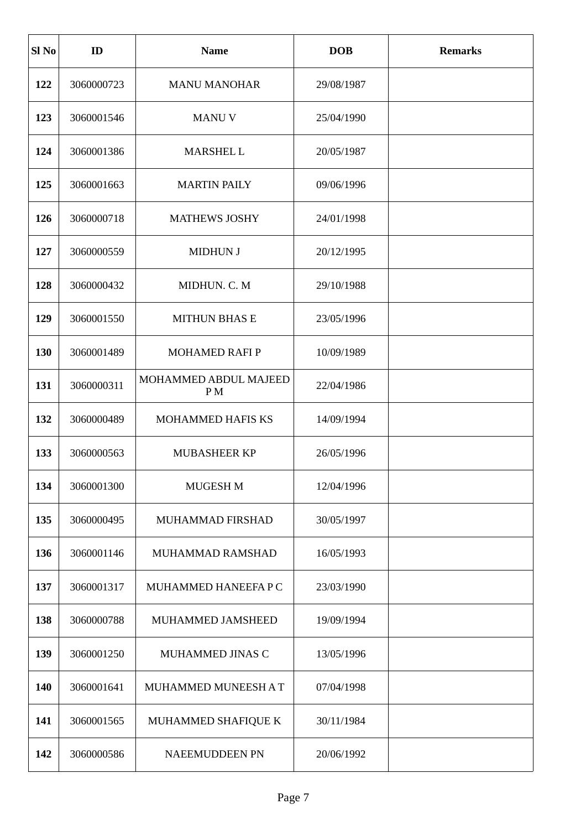| Sl <sub>No</sub> | ID         | <b>Name</b>                 | <b>DOB</b> | <b>Remarks</b> |
|------------------|------------|-----------------------------|------------|----------------|
| 122              | 3060000723 | <b>MANU MANOHAR</b>         | 29/08/1987 |                |
| 123              | 3060001546 | <b>MANUV</b>                | 25/04/1990 |                |
| 124              | 3060001386 | MARSHEL L                   | 20/05/1987 |                |
| 125              | 3060001663 | <b>MARTIN PAILY</b>         | 09/06/1996 |                |
| 126              | 3060000718 | <b>MATHEWS JOSHY</b>        | 24/01/1998 |                |
| 127              | 3060000559 | <b>MIDHUN J</b>             | 20/12/1995 |                |
| 128              | 3060000432 | MIDHUN. C. M                | 29/10/1988 |                |
| 129              | 3060001550 | <b>MITHUN BHAS E</b>        | 23/05/1996 |                |
| 130              | 3060001489 | <b>MOHAMED RAFI P</b>       | 10/09/1989 |                |
| 131              | 3060000311 | MOHAMMED ABDUL MAJEED<br>PM | 22/04/1986 |                |
| 132              | 3060000489 | <b>MOHAMMED HAFIS KS</b>    | 14/09/1994 |                |
| 133              | 3060000563 | <b>MUBASHEER KP</b>         | 26/05/1996 |                |
| 134              | 3060001300 | MUGESH M                    | 12/04/1996 |                |
| 135              | 3060000495 | MUHAMMAD FIRSHAD            | 30/05/1997 |                |
| 136              | 3060001146 | MUHAMMAD RAMSHAD            | 16/05/1993 |                |
| 137              | 3060001317 | MUHAMMED HANEEFA P C        | 23/03/1990 |                |
| 138              | 3060000788 | MUHAMMED JAMSHEED           | 19/09/1994 |                |
| 139              | 3060001250 | MUHAMMED JINAS C            | 13/05/1996 |                |
| 140              | 3060001641 | MUHAMMED MUNEESH AT         | 07/04/1998 |                |
| 141              | 3060001565 | MUHAMMED SHAFIQUE K         | 30/11/1984 |                |
| 142              | 3060000586 | NAEEMUDDEEN PN              | 20/06/1992 |                |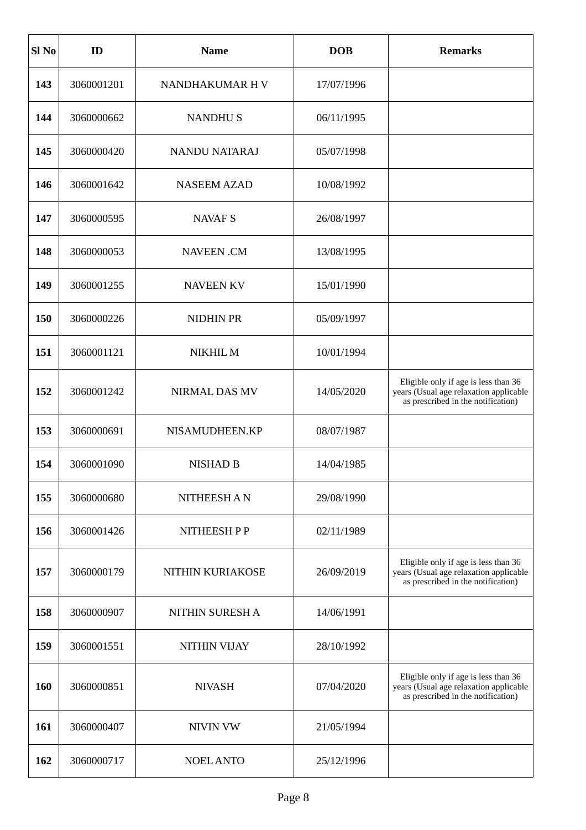| Sl <sub>No</sub> | ID         | <b>Name</b>          | <b>DOB</b> | <b>Remarks</b>                                                                                                       |
|------------------|------------|----------------------|------------|----------------------------------------------------------------------------------------------------------------------|
| 143              | 3060001201 | NANDHAKUMAR H V      | 17/07/1996 |                                                                                                                      |
| 144              | 3060000662 | <b>NANDHUS</b>       | 06/11/1995 |                                                                                                                      |
| 145              | 3060000420 | <b>NANDU NATARAJ</b> | 05/07/1998 |                                                                                                                      |
| 146              | 3060001642 | <b>NASEEM AZAD</b>   | 10/08/1992 |                                                                                                                      |
| 147              | 3060000595 | <b>NAVAF S</b>       | 26/08/1997 |                                                                                                                      |
| 148              | 3060000053 | <b>NAVEEN.CM</b>     | 13/08/1995 |                                                                                                                      |
| 149              | 3060001255 | <b>NAVEEN KV</b>     | 15/01/1990 |                                                                                                                      |
| 150              | 3060000226 | <b>NIDHIN PR</b>     | 05/09/1997 |                                                                                                                      |
| 151              | 3060001121 | NIKHIL M             | 10/01/1994 |                                                                                                                      |
| 152              | 3060001242 | <b>NIRMAL DAS MV</b> | 14/05/2020 | Eligible only if age is less than 36<br>years (Usual age relaxation applicable<br>as prescribed in the notification) |
| 153              | 3060000691 | NISAMUDHEEN.KP       | 08/07/1987 |                                                                                                                      |
| 154              | 3060001090 | <b>NISHAD B</b>      | 14/04/1985 |                                                                                                                      |
| 155              | 3060000680 | <b>NITHEESH AN</b>   | 29/08/1990 |                                                                                                                      |
| 156              | 3060001426 | NITHEESH PP          | 02/11/1989 |                                                                                                                      |
| 157              | 3060000179 | NITHIN KURIAKOSE     | 26/09/2019 | Eligible only if age is less than 36<br>years (Usual age relaxation applicable<br>as prescribed in the notification) |
| 158              | 3060000907 | NITHIN SURESH A      | 14/06/1991 |                                                                                                                      |
| 159              | 3060001551 | NITHIN VIJAY         | 28/10/1992 |                                                                                                                      |
| 160              | 3060000851 | <b>NIVASH</b>        | 07/04/2020 | Eligible only if age is less than 36<br>years (Usual age relaxation applicable<br>as prescribed in the notification) |
| 161              | 3060000407 | <b>NIVIN VW</b>      | 21/05/1994 |                                                                                                                      |
| 162              | 3060000717 | <b>NOEL ANTO</b>     | 25/12/1996 |                                                                                                                      |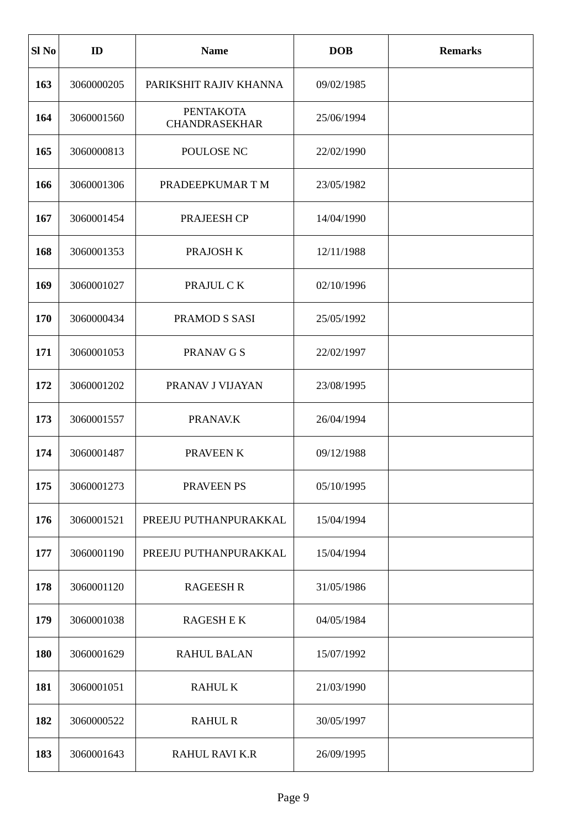| Sl <sub>No</sub> | ID         | <b>Name</b>                              | <b>DOB</b> | <b>Remarks</b> |
|------------------|------------|------------------------------------------|------------|----------------|
| 163              | 3060000205 | PARIKSHIT RAJIV KHANNA                   | 09/02/1985 |                |
| 164              | 3060001560 | <b>PENTAKOTA</b><br><b>CHANDRASEKHAR</b> | 25/06/1994 |                |
| 165              | 3060000813 | POULOSE NC                               | 22/02/1990 |                |
| 166              | 3060001306 | PRADEEPKUMAR TM                          | 23/05/1982 |                |
| 167              | 3060001454 | PRAJEESH CP                              | 14/04/1990 |                |
| 168              | 3060001353 | PRAJOSH K                                | 12/11/1988 |                |
| 169              | 3060001027 | PRAJUL CK                                | 02/10/1996 |                |
| 170              | 3060000434 | PRAMOD S SASI                            | 25/05/1992 |                |
| 171              | 3060001053 | <b>PRANAV G S</b>                        | 22/02/1997 |                |
| 172              | 3060001202 | PRANAV J VIJAYAN                         | 23/08/1995 |                |
| 173              | 3060001557 | PRANAV.K                                 | 26/04/1994 |                |
| 174              | 3060001487 | PRAVEEN K                                | 09/12/1988 |                |
| 175              | 3060001273 | PRAVEEN PS                               | 05/10/1995 |                |
| 176              | 3060001521 | PREEJU PUTHANPURAKKAL                    | 15/04/1994 |                |
| 177              | 3060001190 | PREEJU PUTHANPURAKKAL                    | 15/04/1994 |                |
| 178              | 3060001120 | <b>RAGEESH R</b>                         | 31/05/1986 |                |
| 179              | 3060001038 | <b>RAGESH E K</b>                        | 04/05/1984 |                |
| 180              | 3060001629 | <b>RAHUL BALAN</b>                       | 15/07/1992 |                |
| 181              | 3060001051 | <b>RAHUL K</b>                           | 21/03/1990 |                |
| 182              | 3060000522 | <b>RAHUL R</b>                           | 30/05/1997 |                |
| 183              | 3060001643 | RAHUL RAVI K.R                           | 26/09/1995 |                |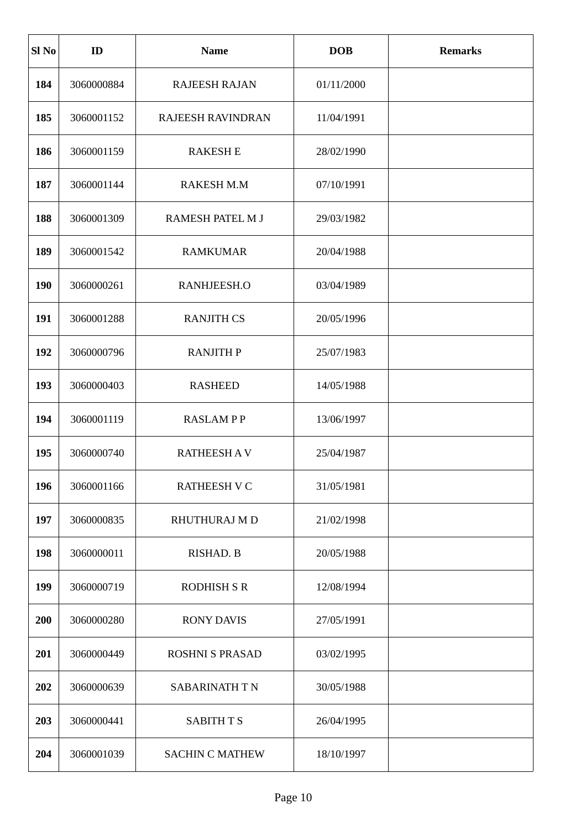| Sl <sub>No</sub> | ID         | <b>Name</b>            | <b>DOB</b> | <b>Remarks</b> |
|------------------|------------|------------------------|------------|----------------|
| 184              | 3060000884 | <b>RAJEESH RAJAN</b>   | 01/11/2000 |                |
| 185              | 3060001152 | RAJEESH RAVINDRAN      | 11/04/1991 |                |
| 186              | 3060001159 | <b>RAKESH E</b>        | 28/02/1990 |                |
| 187              | 3060001144 | RAKESH M.M             | 07/10/1991 |                |
| 188              | 3060001309 | RAMESH PATEL M J       | 29/03/1982 |                |
| 189              | 3060001542 | <b>RAMKUMAR</b>        | 20/04/1988 |                |
| <b>190</b>       | 3060000261 | RANHJEESH.O            | 03/04/1989 |                |
| 191              | 3060001288 | <b>RANJITH CS</b>      | 20/05/1996 |                |
| 192              | 3060000796 | <b>RANJITH P</b>       | 25/07/1983 |                |
| 193              | 3060000403 | <b>RASHEED</b>         | 14/05/1988 |                |
| 194              | 3060001119 | <b>RASLAMPP</b>        | 13/06/1997 |                |
| 195              | 3060000740 | <b>RATHEESH AV</b>     | 25/04/1987 |                |
| 196              | 3060001166 | <b>RATHEESH V C</b>    | 31/05/1981 |                |
| 197              | 3060000835 | RHUTHURAJ M D          | 21/02/1998 |                |
| 198              | 3060000011 | RISHAD. B              | 20/05/1988 |                |
| 199              | 3060000719 | <b>RODHISH S R</b>     | 12/08/1994 |                |
| 200              | 3060000280 | <b>RONY DAVIS</b>      | 27/05/1991 |                |
| 201              | 3060000449 | <b>ROSHNI S PRASAD</b> | 03/02/1995 |                |
| 202              | 3060000639 | SABARINATH TN          | 30/05/1988 |                |
| 203              | 3060000441 | <b>SABITH T S</b>      | 26/04/1995 |                |
| 204              | 3060001039 | <b>SACHIN C MATHEW</b> | 18/10/1997 |                |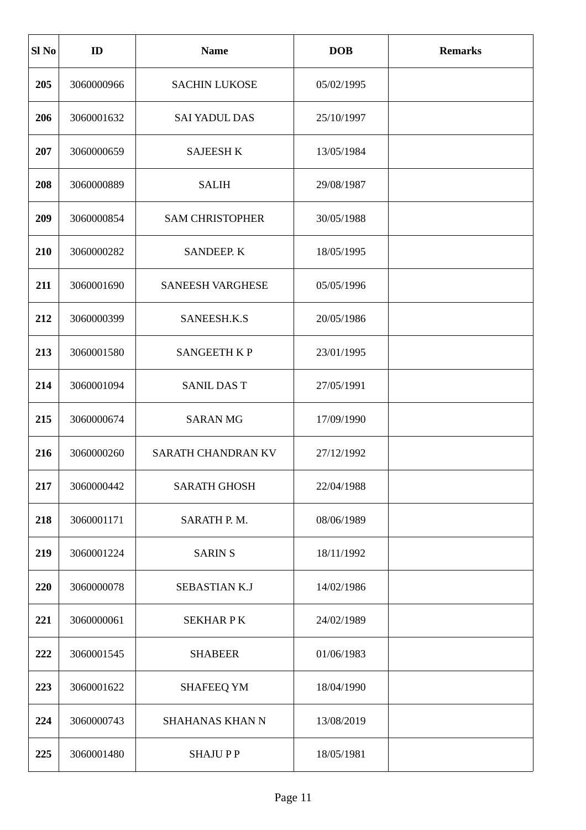| Sl <sub>No</sub> | ID         | <b>Name</b>             | <b>DOB</b> | <b>Remarks</b> |
|------------------|------------|-------------------------|------------|----------------|
| 205              | 3060000966 | <b>SACHIN LUKOSE</b>    | 05/02/1995 |                |
| 206              | 3060001632 | <b>SAI YADUL DAS</b>    | 25/10/1997 |                |
| 207              | 3060000659 | <b>SAJEESH K</b>        | 13/05/1984 |                |
| 208              | 3060000889 | <b>SALIH</b>            | 29/08/1987 |                |
| 209              | 3060000854 | <b>SAM CHRISTOPHER</b>  | 30/05/1988 |                |
| 210              | 3060000282 | <b>SANDEEP, K</b>       | 18/05/1995 |                |
| 211              | 3060001690 | <b>SANEESH VARGHESE</b> | 05/05/1996 |                |
| 212              | 3060000399 | SANEESH.K.S             | 20/05/1986 |                |
| 213              | 3060001580 | <b>SANGEETH K P</b>     | 23/01/1995 |                |
| 214              | 3060001094 | <b>SANIL DAS T</b>      | 27/05/1991 |                |
| 215              | 3060000674 | <b>SARAN MG</b>         | 17/09/1990 |                |
| 216              | 3060000260 | SARATH CHANDRAN KV      | 27/12/1992 |                |
| 217              | 3060000442 | <b>SARATH GHOSH</b>     | 22/04/1988 |                |
| 218              | 3060001171 | SARATH P. M.            | 08/06/1989 |                |
| 219              | 3060001224 | <b>SARINS</b>           | 18/11/1992 |                |
| 220              | 3060000078 | <b>SEBASTIAN K.J</b>    | 14/02/1986 |                |
| 221              | 3060000061 | <b>SEKHAR PK</b>        | 24/02/1989 |                |
| 222              | 3060001545 | <b>SHABEER</b>          | 01/06/1983 |                |
| 223              | 3060001622 | <b>SHAFEEQ YM</b>       | 18/04/1990 |                |
| 224              | 3060000743 | <b>SHAHANAS KHAN N</b>  | 13/08/2019 |                |
| 225              | 3060001480 | <b>SHAJUPP</b>          | 18/05/1981 |                |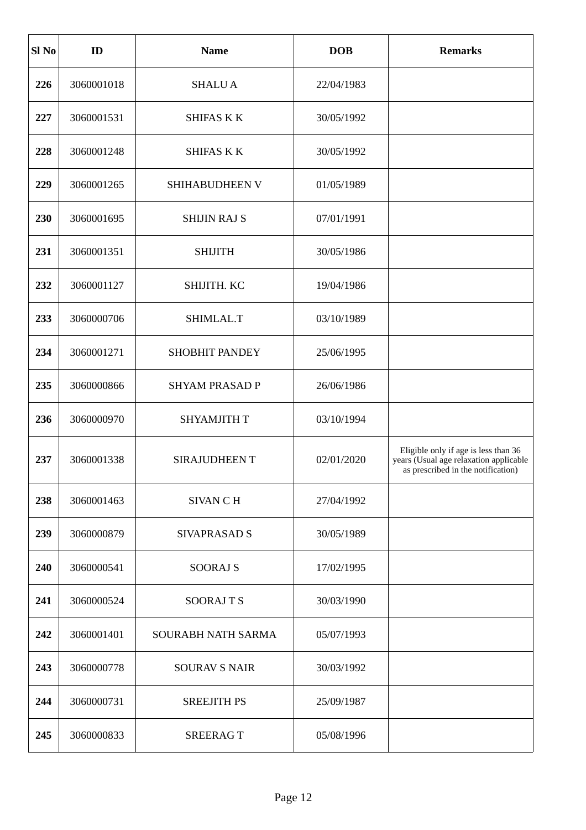| Sl <sub>No</sub> | ID         | <b>Name</b>               | <b>DOB</b> | <b>Remarks</b>                                                                                                       |
|------------------|------------|---------------------------|------------|----------------------------------------------------------------------------------------------------------------------|
| 226              | 3060001018 | <b>SHALUA</b>             | 22/04/1983 |                                                                                                                      |
| 227              | 3060001531 | <b>SHIFAS K K</b>         | 30/05/1992 |                                                                                                                      |
| 228              | 3060001248 | <b>SHIFAS K K</b>         | 30/05/1992 |                                                                                                                      |
| 229              | 3060001265 | SHIHABUDHEEN V            | 01/05/1989 |                                                                                                                      |
| 230              | 3060001695 | <b>SHIJIN RAJ S</b>       | 07/01/1991 |                                                                                                                      |
| 231              | 3060001351 | <b>SHIJITH</b>            | 30/05/1986 |                                                                                                                      |
| 232              | 3060001127 | SHIJITH. KC               | 19/04/1986 |                                                                                                                      |
| 233              | 3060000706 | SHIMLAL.T                 | 03/10/1989 |                                                                                                                      |
| 234              | 3060001271 | SHOBHIT PANDEY            | 25/06/1995 |                                                                                                                      |
| 235              | 3060000866 | <b>SHYAM PRASAD P</b>     | 26/06/1986 |                                                                                                                      |
| 236              | 3060000970 | SHYAMJITH T               | 03/10/1994 |                                                                                                                      |
| 237              | 3060001338 | SIRAJUDHEEN T             | 02/01/2020 | Eligible only if age is less than 36<br>years (Usual age relaxation applicable<br>as prescribed in the notification) |
| 238              | 3060001463 | <b>SIVAN CH</b>           | 27/04/1992 |                                                                                                                      |
| 239              | 3060000879 | <b>SIVAPRASAD S</b>       | 30/05/1989 |                                                                                                                      |
| 240              | 3060000541 | <b>SOORAJ S</b>           | 17/02/1995 |                                                                                                                      |
| 241              | 3060000524 | <b>SOORAJTS</b>           | 30/03/1990 |                                                                                                                      |
| 242              | 3060001401 | <b>SOURABH NATH SARMA</b> | 05/07/1993 |                                                                                                                      |
| 243              | 3060000778 | <b>SOURAV S NAIR</b>      | 30/03/1992 |                                                                                                                      |
| 244              | 3060000731 | <b>SREEJITH PS</b>        | 25/09/1987 |                                                                                                                      |
| 245              | 3060000833 | <b>SREERAGT</b>           | 05/08/1996 |                                                                                                                      |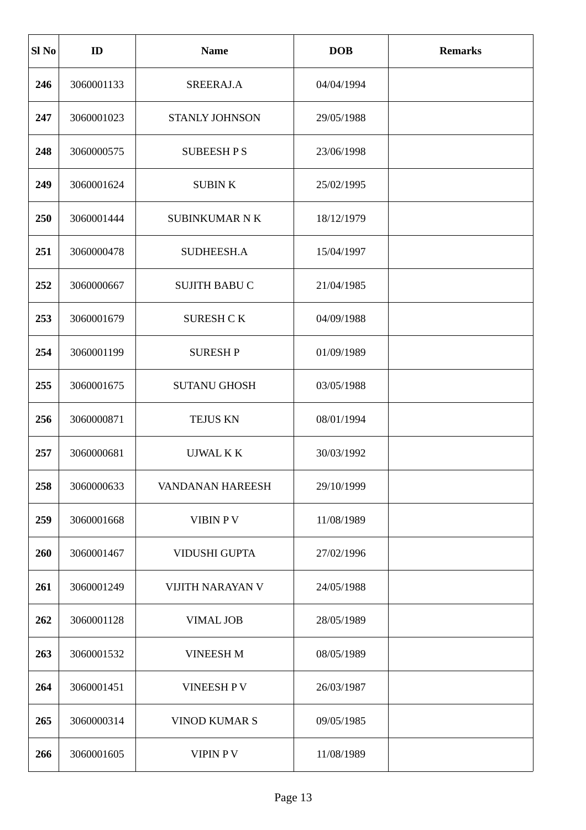| Sl <sub>No</sub> | ID         | <b>Name</b>             | <b>DOB</b> | <b>Remarks</b> |
|------------------|------------|-------------------------|------------|----------------|
| 246              | 3060001133 | SREERAJ.A               | 04/04/1994 |                |
| 247              | 3060001023 | <b>STANLY JOHNSON</b>   | 29/05/1988 |                |
| 248              | 3060000575 | <b>SUBEESHPS</b>        | 23/06/1998 |                |
| 249              | 3060001624 | <b>SUBINK</b>           | 25/02/1995 |                |
| 250              | 3060001444 | <b>SUBINKUMAR N K</b>   | 18/12/1979 |                |
| 251              | 3060000478 | SUDHEESH.A              | 15/04/1997 |                |
| 252              | 3060000667 | <b>SUJITH BABU C</b>    | 21/04/1985 |                |
| 253              | 3060001679 | <b>SURESH CK</b>        | 04/09/1988 |                |
| 254              | 3060001199 | <b>SURESH P</b>         | 01/09/1989 |                |
| 255              | 3060001675 | <b>SUTANU GHOSH</b>     | 03/05/1988 |                |
| 256              | 3060000871 | <b>TEJUS KN</b>         | 08/01/1994 |                |
| 257              | 3060000681 | UJWAL K K               | 30/03/1992 |                |
| 258              | 3060000633 | <b>VANDANAN HAREESH</b> | 29/10/1999 |                |
| 259              | 3060001668 | <b>VIBIN PV</b>         | 11/08/1989 |                |
| 260              | 3060001467 | <b>VIDUSHI GUPTA</b>    | 27/02/1996 |                |
| 261              | 3060001249 | <b>VIJITH NARAYAN V</b> | 24/05/1988 |                |
| 262              | 3060001128 | <b>VIMAL JOB</b>        | 28/05/1989 |                |
| 263              | 3060001532 | <b>VINEESH M</b>        | 08/05/1989 |                |
| 264              | 3060001451 | VINEESH P V             | 26/03/1987 |                |
| 265              | 3060000314 | <b>VINOD KUMAR S</b>    | 09/05/1985 |                |
| 266              | 3060001605 | VIPIN PV                | 11/08/1989 |                |